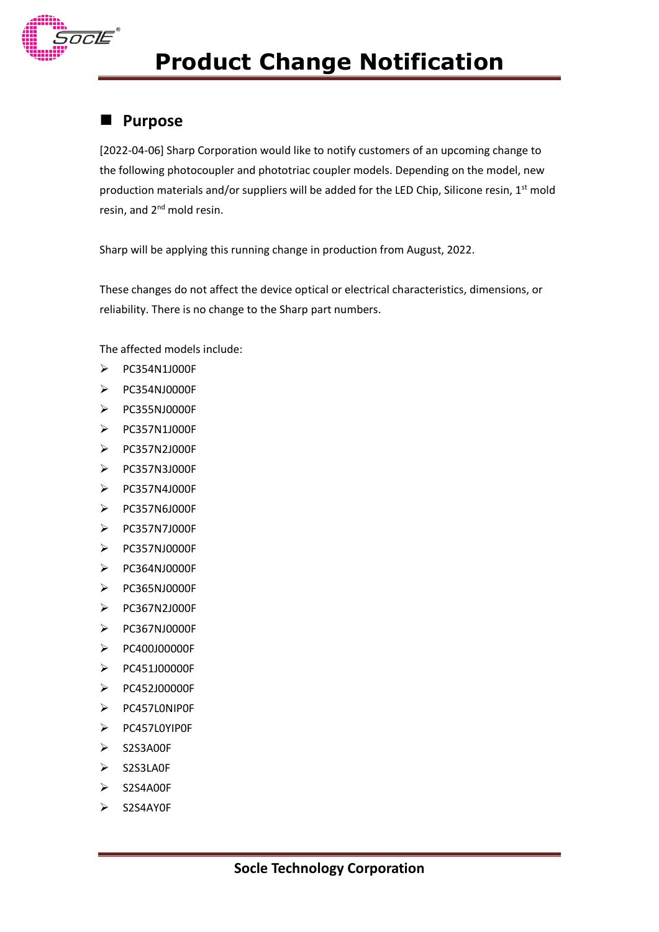

# **Product Change Notification**

### **Purpose**

[2022-04-06] Sharp Corporation would like to notify customers of an upcoming change to the following photocoupler and phototriac coupler models. Depending on the model, new production materials and/or suppliers will be added for the LED Chip, Silicone resin,  $1<sup>st</sup>$  mold resin, and 2<sup>nd</sup> mold resin.

Sharp will be applying this running change in production from August, 2022.

These changes do not affect the device optical or electrical characteristics, dimensions, or reliability. There is no change to the Sharp part numbers.

The affected models include:

- PC354N1J000F
- $\triangleright$  PC354NJ0000F
- PC355NJ0000F
- PC357N1J000F
- PC357N2J000F
- PC357N3J000F
- PC357N4J000F
- PC357N6J000F
- PC357N7J000F
- PC357NJ0000F
- PC364NJ0000F
- PC365NJ0000F
- PC367N2J000F
- PC367NJ0000F
- PC400J00000F
- PC451J00000F
- PC452J00000F
- PC457L0NIP0F
- PC457L0YIP0F
- > S2S3A00F
- $\triangleright$  S2S3LA0F
- $\triangleright$  S2S4A00F
- S2S4AY0F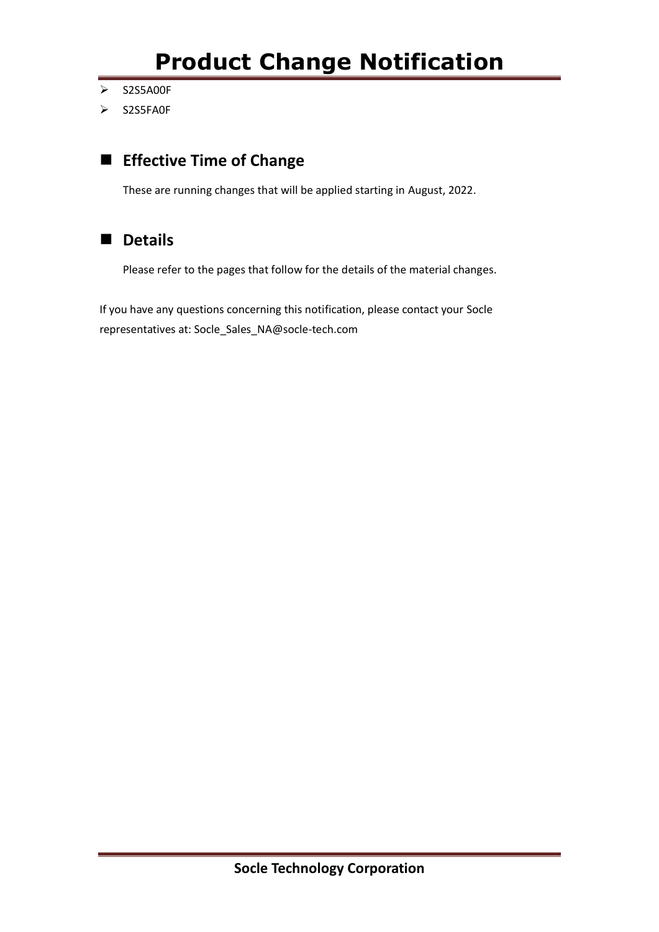- > S2S5A00F
- S2S5FA0F

## **Effective Time of Change**

These are running changes that will be applied starting in August, 2022.

### **Details**

Please refer to the pages that follow for the details of the material changes.

If you have any questions concerning this notification, please contact your Socle representatives at: Socle\_Sales\_NA@socle-tech.com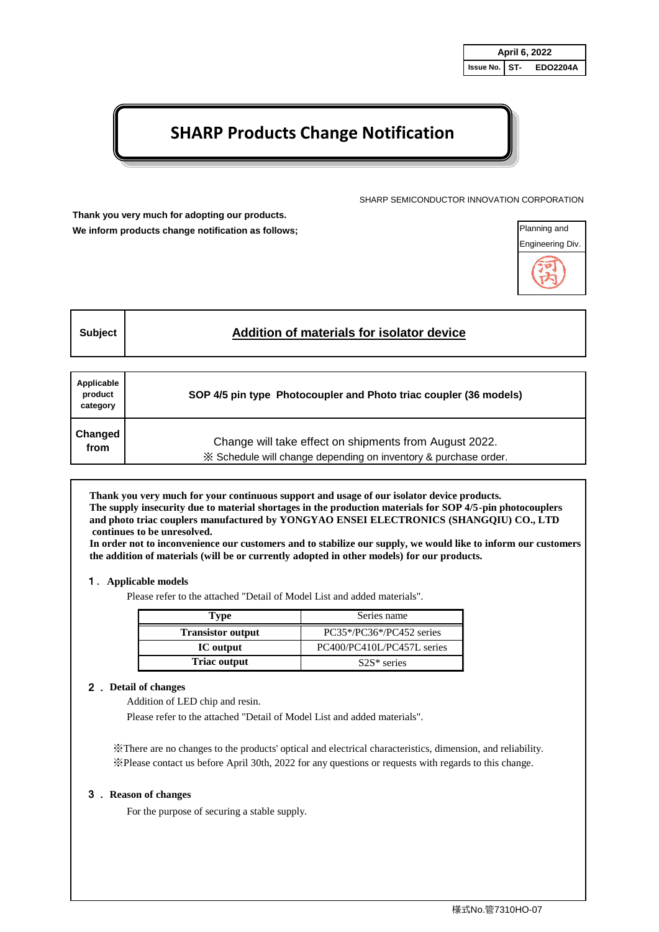# **SHARP Products Change Notification**

SHARP SEMICONDUCTOR INNOVATION CORPORATION

**Thank you very much for adopting our products. We inform products change notification as follows;**



| Addition of materials for isolator device<br>Subject |  |
|------------------------------------------------------|--|
|------------------------------------------------------|--|

| Applicable<br>product<br>category | SOP 4/5 pin type Photocoupler and Photo triac coupler (36 models) |
|-----------------------------------|-------------------------------------------------------------------|
| Changed                           | Change will take effect on shipments from August 2022.            |
| from                              | X Schedule will change depending on inventory & purchase order.   |

**Thank you very much for your continuous support and usage of our isolator device products. The supply insecurity due to material shortages in the production materials for SOP 4/5-pin photocouplers and photo triac couplers manufactured by YONGYAO ENSEI ELECTRONICS (SHANGQIU) CO., LTD continues to be unresolved.**

**In order not to inconvenience our customers and to stabilize our supply, we would like to inform our customers the addition of materials (will be or currently adopted in other models) for our products.**

#### 1.**Applicable models**

Please refer to the attached "Detail of Model List and added materials".

| Type                     | Series name                |
|--------------------------|----------------------------|
| <b>Transistor output</b> | $PC35*/PC36*/PC452$ series |
| IC output                | PC400/PC410L/PC457L series |
| <b>Triac output</b>      | $S2S*$ series              |

#### 2. **Detail of changes**

Addition of LED chip and resin.

Please refer to the attached "Detail of Model List and added materials".

※There are no changes to the products' optical and electrical characteristics, dimension, and reliability. ※Please contact us before April 30th, 2022 for any questions or requests with regards to this change.

#### 3. **Reason of changes**

For the purpose of securing a stable supply.